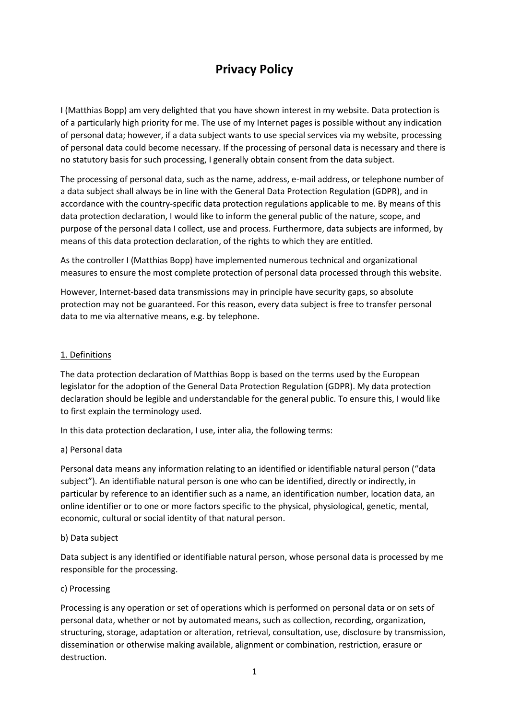# **Privacy Policy**

I (Matthias Bopp) am very delighted that you have shown interest in my website. Data protection is of a particularly high priority for me. The use of my Internet pages is possible without any indication of personal data; however, if a data subject wants to use special services via my website, processing of personal data could become necessary. If the processing of personal data is necessary and there is no statutory basis for such processing, I generally obtain consent from the data subject.

The processing of personal data, such as the name, address, e-mail address, or telephone number of a data subject shall always be in line with the General Data Protection Regulation (GDPR), and in accordance with the country-specific data protection regulations applicable to me. By means of this data protection declaration, I would like to inform the general public of the nature, scope, and purpose of the personal data I collect, use and process. Furthermore, data subjects are informed, by means of this data protection declaration, of the rights to which they are entitled.

As the controller I (Matthias Bopp) have implemented numerous technical and organizational measures to ensure the most complete protection of personal data processed through this website.

However, Internet-based data transmissions may in principle have security gaps, so absolute protection may not be guaranteed. For this reason, every data subject is free to transfer personal data to me via alternative means, e.g. by telephone.

## 1. Definitions

The data protection declaration of Matthias Bopp is based on the terms used by the European legislator for the adoption of the General Data Protection Regulation (GDPR). My data protection declaration should be legible and understandable for the general public. To ensure this, I would like to first explain the terminology used.

In this data protection declaration, I use, inter alia, the following terms:

#### a) Personal data

Personal data means any information relating to an identified or identifiable natural person ("data subject"). An identifiable natural person is one who can be identified, directly or indirectly, in particular by reference to an identifier such as a name, an identification number, location data, an online identifier or to one or more factors specific to the physical, physiological, genetic, mental, economic, cultural or social identity of that natural person.

#### b) Data subject

Data subject is any identified or identifiable natural person, whose personal data is processed by me responsible for the processing.

#### c) Processing

Processing is any operation or set of operations which is performed on personal data or on sets of personal data, whether or not by automated means, such as collection, recording, organization, structuring, storage, adaptation or alteration, retrieval, consultation, use, disclosure by transmission, dissemination or otherwise making available, alignment or combination, restriction, erasure or destruction.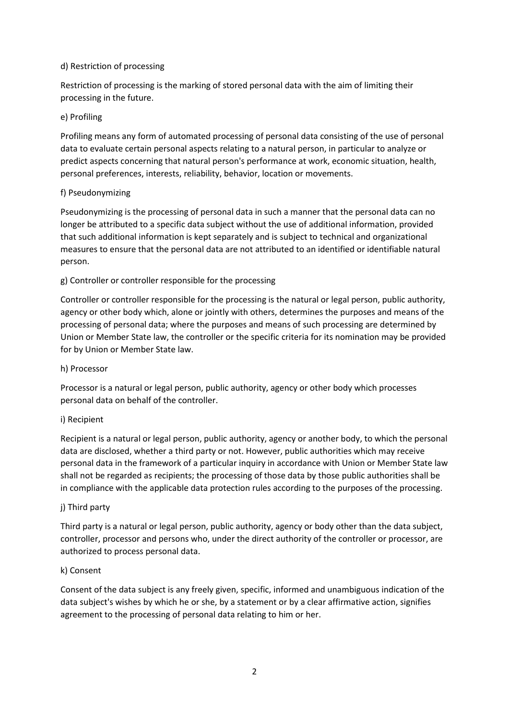# d) Restriction of processing

Restriction of processing is the marking of stored personal data with the aim of limiting their processing in the future.

## e) Profiling

Profiling means any form of automated processing of personal data consisting of the use of personal data to evaluate certain personal aspects relating to a natural person, in particular to analyze or predict aspects concerning that natural person's performance at work, economic situation, health, personal preferences, interests, reliability, behavior, location or movements.

## f) Pseudonymizing

Pseudonymizing is the processing of personal data in such a manner that the personal data can no longer be attributed to a specific data subject without the use of additional information, provided that such additional information is kept separately and is subject to technical and organizational measures to ensure that the personal data are not attributed to an identified or identifiable natural person.

# g) Controller or controller responsible for the processing

Controller or controller responsible for the processing is the natural or legal person, public authority, agency or other body which, alone or jointly with others, determines the purposes and means of the processing of personal data; where the purposes and means of such processing are determined by Union or Member State law, the controller or the specific criteria for its nomination may be provided for by Union or Member State law.

# h) Processor

Processor is a natural or legal person, public authority, agency or other body which processes personal data on behalf of the controller.

#### i) Recipient

Recipient is a natural or legal person, public authority, agency or another body, to which the personal data are disclosed, whether a third party or not. However, public authorities which may receive personal data in the framework of a particular inquiry in accordance with Union or Member State law shall not be regarded as recipients; the processing of those data by those public authorities shall be in compliance with the applicable data protection rules according to the purposes of the processing.

#### j) Third party

Third party is a natural or legal person, public authority, agency or body other than the data subject, controller, processor and persons who, under the direct authority of the controller or processor, are authorized to process personal data.

#### k) Consent

Consent of the data subject is any freely given, specific, informed and unambiguous indication of the data subject's wishes by which he or she, by a statement or by a clear affirmative action, signifies agreement to the processing of personal data relating to him or her.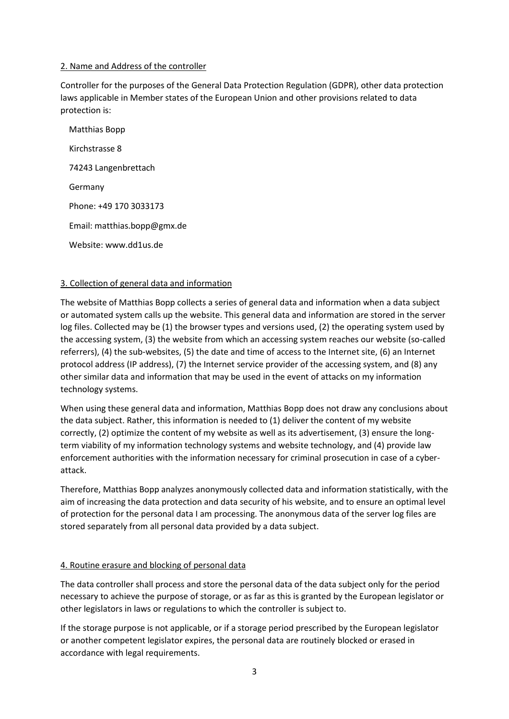# 2. Name and Address of the controller

Controller for the purposes of the General Data Protection Regulation (GDPR), other data protection laws applicable in Member states of the European Union and other provisions related to data protection is:

 Matthias Bopp Kirchstrasse 8 74243 Langenbrettach Germany Phone: +49 170 3033173 Email: matthias.bopp@gmx.de Website: www.dd1us.de

# 3. Collection of general data and information

The website of Matthias Bopp collects a series of general data and information when a data subject or automated system calls up the website. This general data and information are stored in the server log files. Collected may be (1) the browser types and versions used, (2) the operating system used by the accessing system, (3) the website from which an accessing system reaches our website (so-called referrers), (4) the sub-websites, (5) the date and time of access to the Internet site, (6) an Internet protocol address (IP address), (7) the Internet service provider of the accessing system, and (8) any other similar data and information that may be used in the event of attacks on my information technology systems.

When using these general data and information, Matthias Bopp does not draw any conclusions about the data subject. Rather, this information is needed to (1) deliver the content of my website correctly, (2) optimize the content of my website as well as its advertisement, (3) ensure the longterm viability of my information technology systems and website technology, and (4) provide law enforcement authorities with the information necessary for criminal prosecution in case of a cyberattack.

Therefore, Matthias Bopp analyzes anonymously collected data and information statistically, with the aim of increasing the data protection and data security of his website, and to ensure an optimal level of protection for the personal data I am processing. The anonymous data of the server log files are stored separately from all personal data provided by a data subject.

#### 4. Routine erasure and blocking of personal data

The data controller shall process and store the personal data of the data subject only for the period necessary to achieve the purpose of storage, or as far as this is granted by the European legislator or other legislators in laws or regulations to which the controller is subject to.

If the storage purpose is not applicable, or if a storage period prescribed by the European legislator or another competent legislator expires, the personal data are routinely blocked or erased in accordance with legal requirements.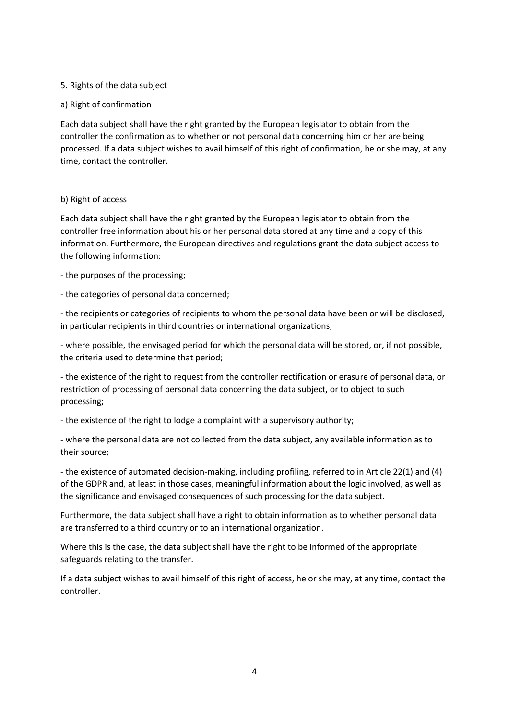# 5. Rights of the data subject

## a) Right of confirmation

Each data subject shall have the right granted by the European legislator to obtain from the controller the confirmation as to whether or not personal data concerning him or her are being processed. If a data subject wishes to avail himself of this right of confirmation, he or she may, at any time, contact the controller.

## b) Right of access

Each data subject shall have the right granted by the European legislator to obtain from the controller free information about his or her personal data stored at any time and a copy of this information. Furthermore, the European directives and regulations grant the data subject access to the following information:

- the purposes of the processing;

- the categories of personal data concerned;

- the recipients or categories of recipients to whom the personal data have been or will be disclosed, in particular recipients in third countries or international organizations;

- where possible, the envisaged period for which the personal data will be stored, or, if not possible, the criteria used to determine that period;

- the existence of the right to request from the controller rectification or erasure of personal data, or restriction of processing of personal data concerning the data subject, or to object to such processing;

- the existence of the right to lodge a complaint with a supervisory authority;

- where the personal data are not collected from the data subject, any available information as to their source;

- the existence of automated decision-making, including profiling, referred to in Article 22(1) and (4) of the GDPR and, at least in those cases, meaningful information about the logic involved, as well as the significance and envisaged consequences of such processing for the data subject.

Furthermore, the data subject shall have a right to obtain information as to whether personal data are transferred to a third country or to an international organization.

Where this is the case, the data subject shall have the right to be informed of the appropriate safeguards relating to the transfer.

If a data subject wishes to avail himself of this right of access, he or she may, at any time, contact the controller.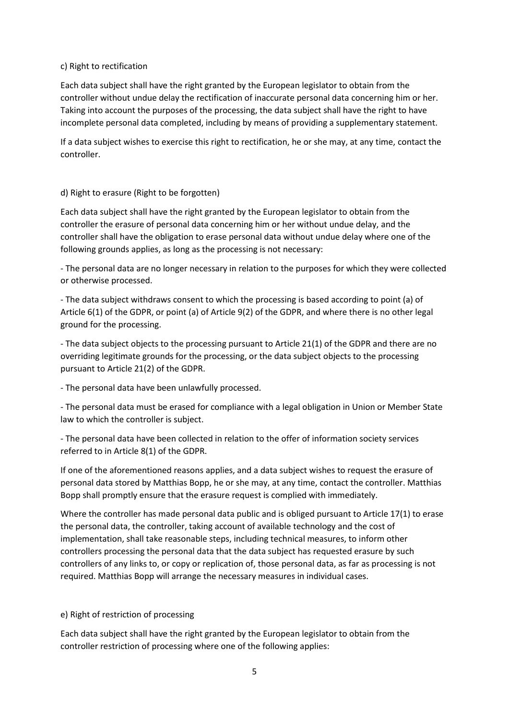## c) Right to rectification

Each data subject shall have the right granted by the European legislator to obtain from the controller without undue delay the rectification of inaccurate personal data concerning him or her. Taking into account the purposes of the processing, the data subject shall have the right to have incomplete personal data completed, including by means of providing a supplementary statement.

If a data subject wishes to exercise this right to rectification, he or she may, at any time, contact the controller.

## d) Right to erasure (Right to be forgotten)

Each data subject shall have the right granted by the European legislator to obtain from the controller the erasure of personal data concerning him or her without undue delay, and the controller shall have the obligation to erase personal data without undue delay where one of the following grounds applies, as long as the processing is not necessary:

- The personal data are no longer necessary in relation to the purposes for which they were collected or otherwise processed.

- The data subject withdraws consent to which the processing is based according to point (a) of Article 6(1) of the GDPR, or point (a) of Article 9(2) of the GDPR, and where there is no other legal ground for the processing.

- The data subject objects to the processing pursuant to Article 21(1) of the GDPR and there are no overriding legitimate grounds for the processing, or the data subject objects to the processing pursuant to Article 21(2) of the GDPR.

- The personal data have been unlawfully processed.

- The personal data must be erased for compliance with a legal obligation in Union or Member State law to which the controller is subject.

- The personal data have been collected in relation to the offer of information society services referred to in Article 8(1) of the GDPR.

If one of the aforementioned reasons applies, and a data subject wishes to request the erasure of personal data stored by Matthias Bopp, he or she may, at any time, contact the controller. Matthias Bopp shall promptly ensure that the erasure request is complied with immediately.

Where the controller has made personal data public and is obliged pursuant to Article 17(1) to erase the personal data, the controller, taking account of available technology and the cost of implementation, shall take reasonable steps, including technical measures, to inform other controllers processing the personal data that the data subject has requested erasure by such controllers of any links to, or copy or replication of, those personal data, as far as processing is not required. Matthias Bopp will arrange the necessary measures in individual cases.

# e) Right of restriction of processing

Each data subject shall have the right granted by the European legislator to obtain from the controller restriction of processing where one of the following applies: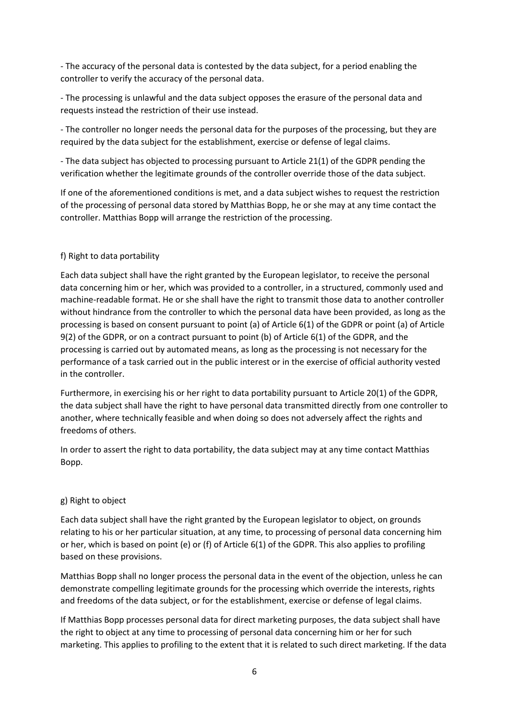- The accuracy of the personal data is contested by the data subject, for a period enabling the controller to verify the accuracy of the personal data.

- The processing is unlawful and the data subject opposes the erasure of the personal data and requests instead the restriction of their use instead.

- The controller no longer needs the personal data for the purposes of the processing, but they are required by the data subject for the establishment, exercise or defense of legal claims.

- The data subject has objected to processing pursuant to Article 21(1) of the GDPR pending the verification whether the legitimate grounds of the controller override those of the data subject.

If one of the aforementioned conditions is met, and a data subject wishes to request the restriction of the processing of personal data stored by Matthias Bopp, he or she may at any time contact the controller. Matthias Bopp will arrange the restriction of the processing.

# f) Right to data portability

Each data subject shall have the right granted by the European legislator, to receive the personal data concerning him or her, which was provided to a controller, in a structured, commonly used and machine-readable format. He or she shall have the right to transmit those data to another controller without hindrance from the controller to which the personal data have been provided, as long as the processing is based on consent pursuant to point (a) of Article 6(1) of the GDPR or point (a) of Article 9(2) of the GDPR, or on a contract pursuant to point (b) of Article 6(1) of the GDPR, and the processing is carried out by automated means, as long as the processing is not necessary for the performance of a task carried out in the public interest or in the exercise of official authority vested in the controller.

Furthermore, in exercising his or her right to data portability pursuant to Article 20(1) of the GDPR, the data subject shall have the right to have personal data transmitted directly from one controller to another, where technically feasible and when doing so does not adversely affect the rights and freedoms of others.

In order to assert the right to data portability, the data subject may at any time contact Matthias Bopp.

#### g) Right to object

Each data subject shall have the right granted by the European legislator to object, on grounds relating to his or her particular situation, at any time, to processing of personal data concerning him or her, which is based on point (e) or (f) of Article 6(1) of the GDPR. This also applies to profiling based on these provisions.

Matthias Bopp shall no longer process the personal data in the event of the objection, unless he can demonstrate compelling legitimate grounds for the processing which override the interests, rights and freedoms of the data subject, or for the establishment, exercise or defense of legal claims.

If Matthias Bopp processes personal data for direct marketing purposes, the data subject shall have the right to object at any time to processing of personal data concerning him or her for such marketing. This applies to profiling to the extent that it is related to such direct marketing. If the data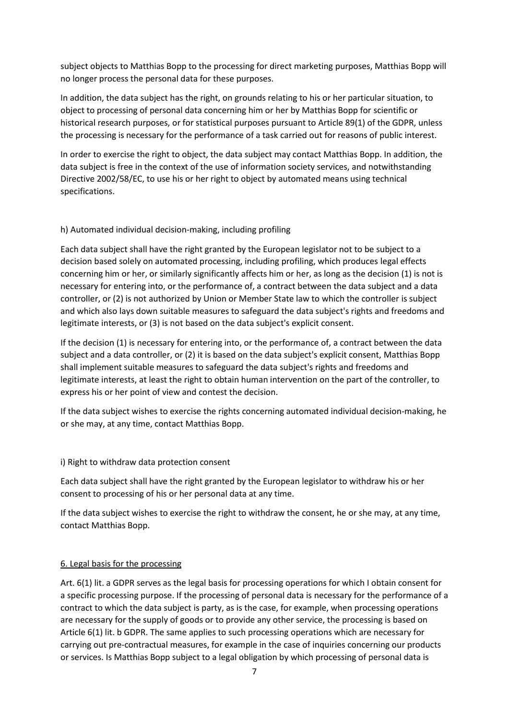subject objects to Matthias Bopp to the processing for direct marketing purposes, Matthias Bopp will no longer process the personal data for these purposes.

In addition, the data subject has the right, on grounds relating to his or her particular situation, to object to processing of personal data concerning him or her by Matthias Bopp for scientific or historical research purposes, or for statistical purposes pursuant to Article 89(1) of the GDPR, unless the processing is necessary for the performance of a task carried out for reasons of public interest.

In order to exercise the right to object, the data subject may contact Matthias Bopp. In addition, the data subject is free in the context of the use of information society services, and notwithstanding Directive 2002/58/EC, to use his or her right to object by automated means using technical specifications.

# h) Automated individual decision-making, including profiling

Each data subject shall have the right granted by the European legislator not to be subject to a decision based solely on automated processing, including profiling, which produces legal effects concerning him or her, or similarly significantly affects him or her, as long as the decision (1) is not is necessary for entering into, or the performance of, a contract between the data subject and a data controller, or (2) is not authorized by Union or Member State law to which the controller is subject and which also lays down suitable measures to safeguard the data subject's rights and freedoms and legitimate interests, or (3) is not based on the data subject's explicit consent.

If the decision (1) is necessary for entering into, or the performance of, a contract between the data subject and a data controller, or (2) it is based on the data subject's explicit consent, Matthias Bopp shall implement suitable measures to safeguard the data subject's rights and freedoms and legitimate interests, at least the right to obtain human intervention on the part of the controller, to express his or her point of view and contest the decision.

If the data subject wishes to exercise the rights concerning automated individual decision-making, he or she may, at any time, contact Matthias Bopp.

i) Right to withdraw data protection consent

Each data subject shall have the right granted by the European legislator to withdraw his or her consent to processing of his or her personal data at any time.

If the data subject wishes to exercise the right to withdraw the consent, he or she may, at any time, contact Matthias Bopp.

# 6. Legal basis for the processing

Art. 6(1) lit. a GDPR serves as the legal basis for processing operations for which I obtain consent for a specific processing purpose. If the processing of personal data is necessary for the performance of a contract to which the data subject is party, as is the case, for example, when processing operations are necessary for the supply of goods or to provide any other service, the processing is based on Article 6(1) lit. b GDPR. The same applies to such processing operations which are necessary for carrying out pre-contractual measures, for example in the case of inquiries concerning our products or services. Is Matthias Bopp subject to a legal obligation by which processing of personal data is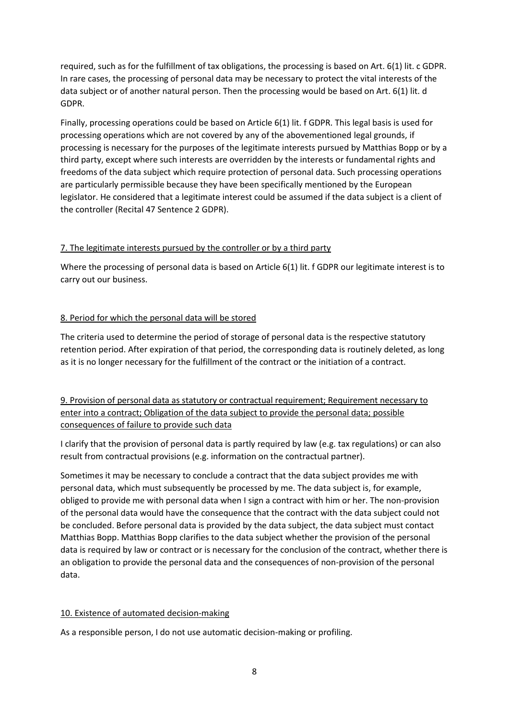required, such as for the fulfillment of tax obligations, the processing is based on Art. 6(1) lit. c GDPR. In rare cases, the processing of personal data may be necessary to protect the vital interests of the data subject or of another natural person. Then the processing would be based on Art. 6(1) lit. d GDPR.

Finally, processing operations could be based on Article 6(1) lit. f GDPR. This legal basis is used for processing operations which are not covered by any of the abovementioned legal grounds, if processing is necessary for the purposes of the legitimate interests pursued by Matthias Bopp or by a third party, except where such interests are overridden by the interests or fundamental rights and freedoms of the data subject which require protection of personal data. Such processing operations are particularly permissible because they have been specifically mentioned by the European legislator. He considered that a legitimate interest could be assumed if the data subject is a client of the controller (Recital 47 Sentence 2 GDPR).

## 7. The legitimate interests pursued by the controller or by a third party

Where the processing of personal data is based on Article 6(1) lit. f GDPR our legitimate interest is to carry out our business.

# 8. Period for which the personal data will be stored

The criteria used to determine the period of storage of personal data is the respective statutory retention period. After expiration of that period, the corresponding data is routinely deleted, as long as it is no longer necessary for the fulfillment of the contract or the initiation of a contract.

9. Provision of personal data as statutory or contractual requirement; Requirement necessary to enter into a contract; Obligation of the data subject to provide the personal data; possible consequences of failure to provide such data

I clarify that the provision of personal data is partly required by law (e.g. tax regulations) or can also result from contractual provisions (e.g. information on the contractual partner).

Sometimes it may be necessary to conclude a contract that the data subject provides me with personal data, which must subsequently be processed by me. The data subject is, for example, obliged to provide me with personal data when I sign a contract with him or her. The non-provision of the personal data would have the consequence that the contract with the data subject could not be concluded. Before personal data is provided by the data subject, the data subject must contact Matthias Bopp. Matthias Bopp clarifies to the data subject whether the provision of the personal data is required by law or contract or is necessary for the conclusion of the contract, whether there is an obligation to provide the personal data and the consequences of non-provision of the personal data.

# 10. Existence of automated decision-making

As a responsible person, I do not use automatic decision-making or profiling.